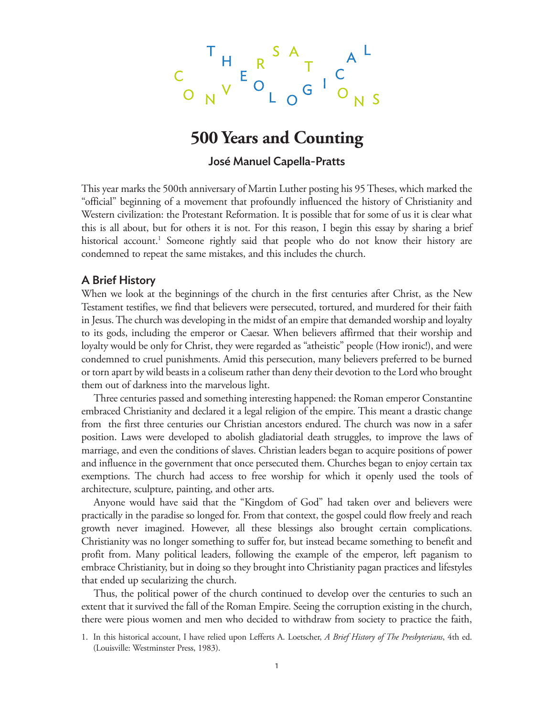$$
\begin{array}{ccccccc}\n & T & & & S & A & & A & L \\
C & & & E & & T & C & & \\
O & & & V & & O & G & & O & \\
\end{array}
$$

# **500 Years and Counting**

### José Manuel Capella-Pratts

This year marks the 500th anniversary of Martin Luther posting his 95 Theses, which marked the "official" beginning of a movement that profoundly influenced the history of Christianity and Western civilization: the Protestant Reformation. It is possible that for some of us it is clear what this is all about, but for others it is not. For this reason, I begin this essay by sharing a brief historical account.<sup>1</sup> Someone rightly said that people who do not know their history are condemned to repeat the same mistakes, and this includes the church.

#### A Brief History

When we look at the beginnings of the church in the first centuries after Christ, as the New Testament testifies, we find that believers were persecuted, tortured, and murdered for their faith in Jesus. The church was developing in the midst of an empire that demanded worship and loyalty to its gods, including the emperor or Caesar. When believers affirmed that their worship and loyalty would be only for Christ, they were regarded as "atheistic" people (How ironic!), and were condemned to cruel punishments. Amid this persecution, many believers preferred to be burned or torn apart by wild beasts in a coliseum rather than deny their devotion to the Lord who brought them out of darkness into the marvelous light.

Three centuries passed and something interesting happened: the Roman emperor Constantine embraced Christianity and declared it a legal religion of the empire. This meant a drastic change from the first three centuries our Christian ancestors endured. The church was now in a safer position. Laws were developed to abolish gladiatorial death struggles, to improve the laws of marriage, and even the conditions of slaves. Christian leaders began to acquire positions of power and influence in the government that once persecuted them. Churches began to enjoy certain tax exemptions. The church had access to free worship for which it openly used the tools of architecture, sculpture, painting, and other arts.

Anyone would have said that the "Kingdom of God" had taken over and believers were practically in the paradise so longed for. From that context, the gospel could flow freely and reach growth never imagined. However, all these blessings also brought certain complications. Christianity was no longer something to suffer for, but instead became something to benefit and profit from. Many political leaders, following the example of the emperor, left paganism to embrace Christianity, but in doing so they brought into Christianity pagan practices and lifestyles that ended up secularizing the church.

Thus, the political power of the church continued to develop over the centuries to such an extent that it survived the fall of the Roman Empire. Seeing the corruption existing in the church, there were pious women and men who decided to withdraw from society to practice the faith,

<sup>1.</sup> In this historical account, I have relied upon Lefferts A. Loetscher, *A Brief History of The Presbyterians*, 4th ed. (Louisville: Westminster Press, 1983).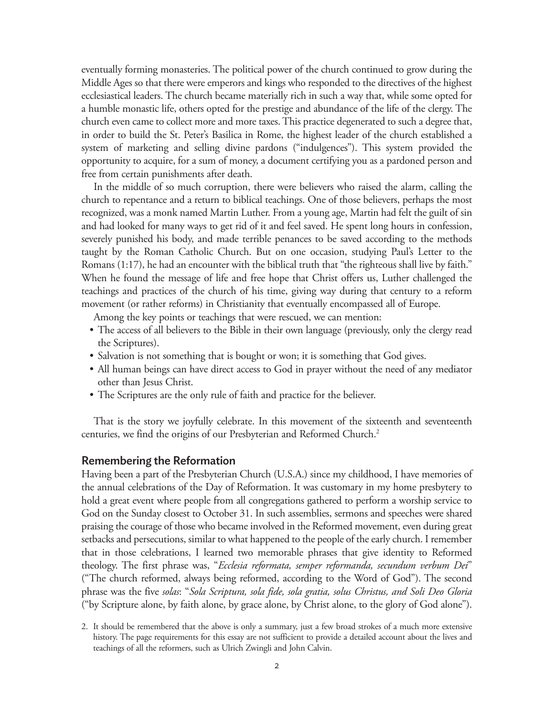eventually forming monasteries. The political power of the church continued to grow during the Middle Ages so that there were emperors and kings who responded to the directives of the highest ecclesiastical leaders. The church became materially rich in such a way that, while some opted for a humble monastic life, others opted for the prestige and abundance of the life of the clergy. The church even came to collect more and more taxes. This practice degenerated to such a degree that, in order to build the St. Peter's Basilica in Rome, the highest leader of the church established a system of marketing and selling divine pardons ("indulgences"). This system provided the opportunity to acquire, for a sum of money, a document certifying you as a pardoned person and free from certain punishments after death.

In the middle of so much corruption, there were believers who raised the alarm, calling the church to repentance and a return to biblical teachings. One of those believers, perhaps the most recognized, was a monk named Martin Luther. From a young age, Martin had felt the guilt of sin and had looked for many ways to get rid of it and feel saved. He spent long hours in confession, severely punished his body, and made terrible penances to be saved according to the methods taught by the Roman Catholic Church. But on one occasion, studying Paul's Letter to the Romans (1:17), he had an encounter with the biblical truth that "the righteous shall live by faith." When he found the message of life and free hope that Christ offers us, Luther challenged the teachings and practices of the church of his time, giving way during that century to a reform movement (or rather reforms) in Christianity that eventually encompassed all of Europe.

Among the key points or teachings that were rescued, we can mention:

- The access of all believers to the Bible in their own language (previously, only the clergy read the Scriptures).
- Salvation is not something that is bought or won; it is something that God gives.
- All human beings can have direct access to God in prayer without the need of any mediator other than Jesus Christ.
- The Scriptures are the only rule of faith and practice for the believer.

That is the story we joyfully celebrate. In this movement of the sixteenth and seventeenth centuries, we find the origins of our Presbyterian and Reformed Church.2

#### Remembering the Reformation

Having been a part of the Presbyterian Church (U.S.A.) since my childhood, I have memories of the annual celebrations of the Day of Reformation. It was customary in my home presbytery to hold a great event where people from all congregations gathered to perform a worship service to God on the Sunday closest to October 31. In such assemblies, sermons and speeches were shared praising the courage of those who became involved in the Reformed movement, even during great setbacks and persecutions, similar to what happened to the people of the early church. I remember that in those celebrations, I learned two memorable phrases that give identity to Reformed theology. The first phrase was, "*Ecclesia reformata, semper reformanda, secundum verbum Dei*" ("The church reformed, always being reformed, according to the Word of God"). The second phrase was the five *solas*: "*Sola Scriptura, sola fide, sola gratia, solus Christus, and Soli Deo Gloria*  ("by Scripture alone, by faith alone, by grace alone, by Christ alone, to the glory of God alone").

<sup>2.</sup> It should be remembered that the above is only a summary, just a few broad strokes of a much more extensive history. The page requirements for this essay are not sufficient to provide a detailed account about the lives and teachings of all the reformers, such as Ulrich Zwingli and John Calvin.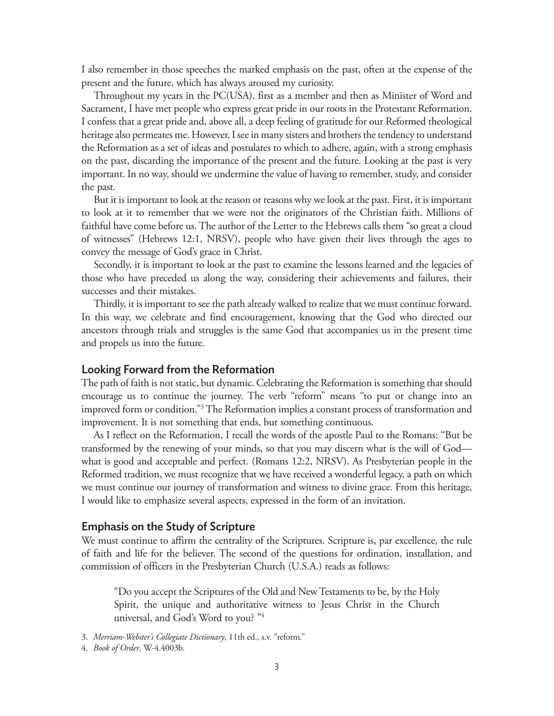I also remember in those speeches the marked emphasis on the past, often at the expense of the present and the future, which has always aroused my curiosity.

Throughout my years in the PC(USA), first as a member and then as Minister of Word and Sacrament, I have met people who express great pride in our roots in the Protestant Reformation. I confess that a great pride and, above all, a deep feeling of gratitude for our Reformed theological heritage also permeates me. However, I see in many sisters and brothers the tendency to understand the Reformation as a set of ideas and postulates to which to adhere, again, with a strong emphasis on the past, discarding the importance of the present and the future. Looking at the past is very important. In no way, should we undermine the value of having to remember, study, and consider the past.

But it is important to look at the reason or reasons why we look at the past. First, it is important to look at it to remember that we were not the originators of the Christian faith. Millions of faithful have come before us. The author of the Letter to the Hebrews calls them "so great a cloud of witnesses" (Hebrews 12:1, NRSV), people who have given their lives through the ages to convey the message of God's grace in Christ.

Secondly, it is important to look at the past to examine the lessons learned and the legacies of those who have preceded us along the way, considering their achievements and failures, their successes and their mistakes.

Thirdly, it is important to see the path already walked to realize that we must continue forward. In this way, we celebrate and find encouragement, knowing that the God who directed our ancestors through trials and struggles is the same God that accompanies us in the present time and propels us into the future.

#### Looking Forward from the Reformation

The path of faith is not static, but dynamic. Celebrating the Reformation is something that should encourage us to continue the journey. The verb "reform" means "to put or change into an improved form or condition."3 The Reformation implies a constant process of transformation and improvement. It is not something that ends, but something continuous.

As I reflect on the Reformation, I recall the words of the apostle Paul to the Romans: "But be transformed by the renewing of your minds, so that you may discern what is the will of God what is good and acceptable and perfect. (Romans 12:2, NRSV). As Presbyterian people in the Reformed tradition, we must recognize that we have received a wonderful legacy, a path on which we must continue our journey of transformation and witness to divine grace. From this heritage, I would like to emphasize several aspects, expressed in the form of an invitation.

#### Emphasis on the Study of Scripture

We must continue to affirm the centrality of the Scriptures. Scripture is, par excellence, the rule of faith and life for the believer. The second of the questions for ordination, installation, and commission of officers in the Presbyterian Church (U.S.A.) reads as follows:

"Do you accept the Scriptures of the Old and New Testaments to be, by the Holy Spirit, the unique and authoritative witness to Jesus Christ in the Church universal, and God's Word to you? "4

<sup>3.</sup> *Merriam-Webster's Collegiate Dictionary*, 11th ed., s.v. "reform."

<sup>4.</sup> *Book of Order*, W-4.4003b.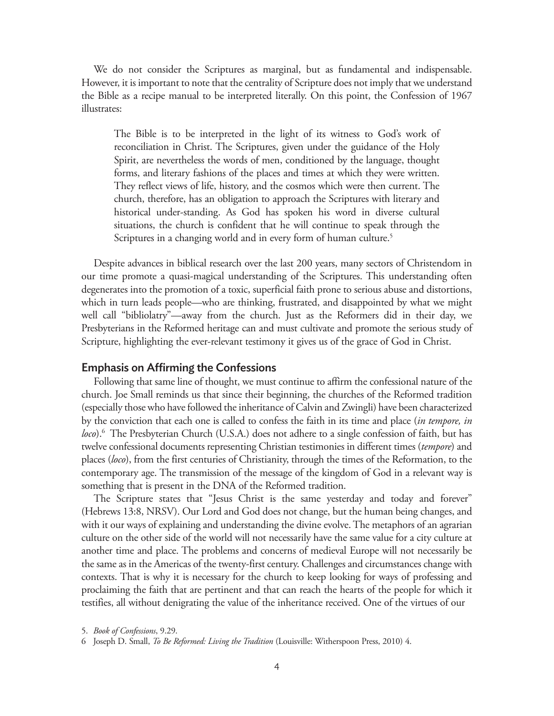We do not consider the Scriptures as marginal, but as fundamental and indispensable. However, it is important to note that the centrality of Scripture does not imply that we understand the Bible as a recipe manual to be interpreted literally. On this point, the Confession of 1967 illustrates:

The Bible is to be interpreted in the light of its witness to God's work of reconciliation in Christ. The Scriptures, given under the guidance of the Holy Spirit, are nevertheless the words of men, conditioned by the language, thought forms, and literary fashions of the places and times at which they were written. They reflect views of life, history, and the cosmos which were then current. The church, therefore, has an obligation to approach the Scriptures with literary and historical under-standing. As God has spoken his word in diverse cultural situations, the church is confident that he will continue to speak through the Scriptures in a changing world and in every form of human culture.<sup>5</sup>

Despite advances in biblical research over the last 200 years, many sectors of Christendom in our time promote a quasi-magical understanding of the Scriptures. This understanding often degenerates into the promotion of a toxic, superficial faith prone to serious abuse and distortions, which in turn leads people—who are thinking, frustrated, and disappointed by what we might well call "bibliolatry"—away from the church. Just as the Reformers did in their day, we Presbyterians in the Reformed heritage can and must cultivate and promote the serious study of Scripture, highlighting the ever-relevant testimony it gives us of the grace of God in Christ.

#### Emphasis on Affirming the Confessions

Following that same line of thought, we must continue to affirm the confessional nature of the church. Joe Small reminds us that since their beginning, the churches of the Reformed tradition (especially those who have followed the inheritance of Calvin and Zwingli) have been characterized by the conviction that each one is called to confess the faith in its time and place (*in tempore, in*  loco).<sup>6</sup> The Presbyterian Church (U.S.A.) does not adhere to a single confession of faith, but has twelve confessional documents representing Christian testimonies in different times (*tempore*) and places (*loco*), from the first centuries of Christianity, through the times of the Reformation, to the contemporary age. The transmission of the message of the kingdom of God in a relevant way is something that is present in the DNA of the Reformed tradition.

The Scripture states that "Jesus Christ is the same yesterday and today and forever" (Hebrews 13:8, NRSV). Our Lord and God does not change, but the human being changes, and with it our ways of explaining and understanding the divine evolve. The metaphors of an agrarian culture on the other side of the world will not necessarily have the same value for a city culture at another time and place. The problems and concerns of medieval Europe will not necessarily be the same as in the Americas of the twenty-first century. Challenges and circumstances change with contexts. That is why it is necessary for the church to keep looking for ways of professing and proclaiming the faith that are pertinent and that can reach the hearts of the people for which it testifies, all without denigrating the value of the inheritance received. One of the virtues of our

<sup>5.</sup> *Book of Confessions*, 9.29.

<sup>6</sup> Joseph D. Small, *To Be Reformed: Living the Tradition* (Louisville: Witherspoon Press, 2010) 4.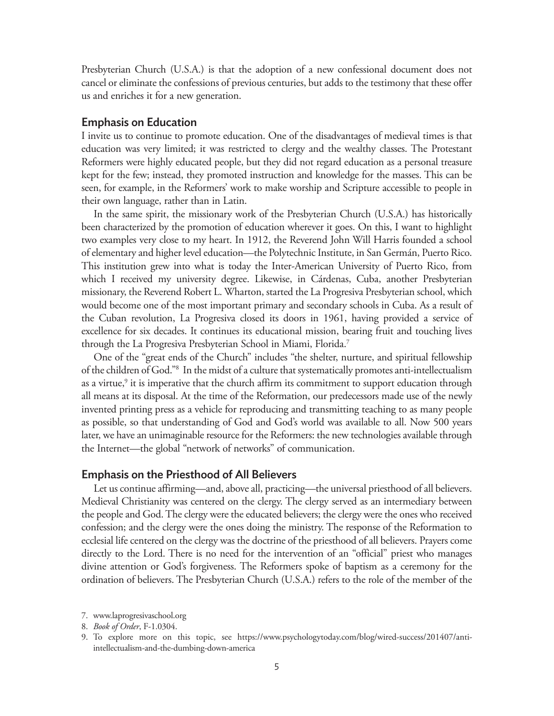Presbyterian Church (U.S.A.) is that the adoption of a new confessional document does not cancel or eliminate the confessions of previous centuries, but adds to the testimony that these offer us and enriches it for a new generation.

#### Emphasis on Education

I invite us to continue to promote education. One of the disadvantages of medieval times is that education was very limited; it was restricted to clergy and the wealthy classes. The Protestant Reformers were highly educated people, but they did not regard education as a personal treasure kept for the few; instead, they promoted instruction and knowledge for the masses. This can be seen, for example, in the Reformers' work to make worship and Scripture accessible to people in their own language, rather than in Latin.

In the same spirit, the missionary work of the Presbyterian Church (U.S.A.) has historically been characterized by the promotion of education wherever it goes. On this, I want to highlight two examples very close to my heart. In 1912, the Reverend John Will Harris founded a school of elementary and higher level education—the Polytechnic Institute, in San Germán, Puerto Rico. This institution grew into what is today the Inter-American University of Puerto Rico, from which I received my university degree. Likewise, in Cárdenas, Cuba, another Presbyterian missionary, the Reverend Robert L. Wharton, started the La Progresiva Presbyterian school, which would become one of the most important primary and secondary schools in Cuba. As a result of the Cuban revolution, La Progresiva closed its doors in 1961, having provided a service of excellence for six decades. It continues its educational mission, bearing fruit and touching lives through the La Progresiva Presbyterian School in Miami, Florida.7

One of the "great ends of the Church" includes "the shelter, nurture, and spiritual fellowship of the children of God."8 In the midst of a culture that systematically promotes anti-intellectualism as a virtue, $9$  it is imperative that the church affirm its commitment to support education through all means at its disposal. At the time of the Reformation, our predecessors made use of the newly invented printing press as a vehicle for reproducing and transmitting teaching to as many people as possible, so that understanding of God and God's world was available to all. Now 500 years later, we have an unimaginable resource for the Reformers: the new technologies available through the Internet—the global "network of networks" of communication.

#### Emphasis on the Priesthood of All Believers

Let us continue affirming—and, above all, practicing—the universal priesthood of all believers. Medieval Christianity was centered on the clergy. The clergy served as an intermediary between the people and God. The clergy were the educated believers; the clergy were the ones who received confession; and the clergy were the ones doing the ministry. The response of the Reformation to ecclesial life centered on the clergy was the doctrine of the priesthood of all believers. Prayers come directly to the Lord. There is no need for the intervention of an "official" priest who manages divine attention or God's forgiveness. The Reformers spoke of baptism as a ceremony for the ordination of believers. The Presbyterian Church (U.S.A.) refers to the role of the member of the

<sup>7.</sup> www.laprogresivaschool.org

<sup>8.</sup> *Book of Order*, F-1.0304.

<sup>9.</sup> To explore more on this topic, see https://www.psychologytoday.com/blog/wired-success/201407/antiintellectualism-and-the-dumbing-down-america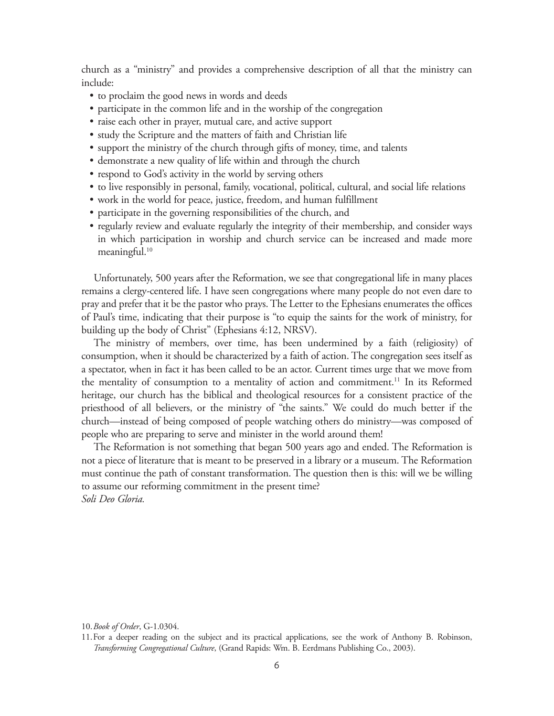church as a "ministry" and provides a comprehensive description of all that the ministry can include:

- to proclaim the good news in words and deeds
- participate in the common life and in the worship of the congregation
- raise each other in prayer, mutual care, and active support
- study the Scripture and the matters of faith and Christian life
- support the ministry of the church through gifts of money, time, and talents
- demonstrate a new quality of life within and through the church
- respond to God's activity in the world by serving others
- to live responsibly in personal, family, vocational, political, cultural, and social life relations
- work in the world for peace, justice, freedom, and human fulfillment
- participate in the governing responsibilities of the church, and
- regularly review and evaluate regularly the integrity of their membership, and consider ways in which participation in worship and church service can be increased and made more meaningful. $10$

Unfortunately, 500 years after the Reformation, we see that congregational life in many places remains a clergy-centered life. I have seen congregations where many people do not even dare to pray and prefer that it be the pastor who prays. The Letter to the Ephesians enumerates the offices of Paul's time, indicating that their purpose is "to equip the saints for the work of ministry, for building up the body of Christ" (Ephesians 4:12, NRSV).

The ministry of members, over time, has been undermined by a faith (religiosity) of consumption, when it should be characterized by a faith of action. The congregation sees itself as a spectator, when in fact it has been called to be an actor. Current times urge that we move from the mentality of consumption to a mentality of action and commitment.<sup>11</sup> In its Reformed heritage, our church has the biblical and theological resources for a consistent practice of the priesthood of all believers, or the ministry of "the saints." We could do much better if the church—instead of being composed of people watching others do ministry—was composed of people who are preparing to serve and minister in the world around them!

The Reformation is not something that began 500 years ago and ended. The Reformation is not a piece of literature that is meant to be preserved in a library or a museum. The Reformation must continue the path of constant transformation. The question then is this: will we be willing to assume our reforming commitment in the present time? *Soli Deo Gloria.*

<sup>10.</sup>*Book of Order*, G-1.0304.

<sup>11.</sup>For a deeper reading on the subject and its practical applications, see the work of Anthony B. Robinson, *Transforming Congregational Culture*, (Grand Rapids: Wm. B. Eerdmans Publishing Co., 2003).